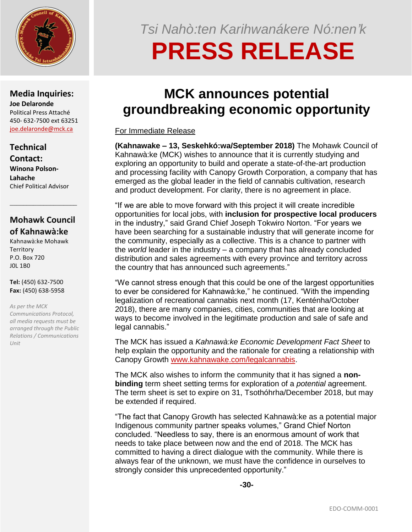

**Media Inquiries: Joe Delaronde** Political Press Attaché 450- 632-7500 ext 63251 [joe.delaronde@mck.ca](mailto:joe.delaronde@mck.ca)

## **Technical**

**Contact: Winona Polson-Lahache** Chief Political Advisor

## **Mohawk Council of Kahnawà:ke**

\_\_\_\_\_\_\_\_\_\_\_\_\_\_\_\_\_\_\_\_

Kahnawà:ke Mohawk **Territory** P.O. Box 720 J0L 1B0

**Tel:** (450) 632-7500 **Fax:** (450) 638-5958

*As per the MCK Communications Protocol, all media requests must be arranged through the Public Relations / Communications Unit*

*Tsi Nahò:ten Karihwanákere Nó:nen'k* **PRESS RELEASE**

# **MCK announces potential groundbreaking economic opportunity**

### For Immediate Release

**(Kahnawake – 13, Seskehkó:wa/September 2018)** The Mohawk Council of Kahnawà:ke (MCK) wishes to announce that it is currently studying and exploring an opportunity to build and operate a state-of-the-art production and processing facility with Canopy Growth Corporation, a company that has emerged as the global leader in the field of cannabis cultivation, research and product development. For clarity, there is no agreement in place.

"If we are able to move forward with this project it will create incredible opportunities for local jobs, with **inclusion for prospective local producers** in the industry," said Grand Chief Joseph Tokwiro Norton. "For years we have been searching for a sustainable industry that will generate income for the community, especially as a collective. This is a chance to partner with the *world* leader in the industry – a company that has already concluded distribution and sales agreements with every province and territory across the country that has announced such agreements."

"We cannot stress enough that this could be one of the largest opportunities to ever be considered for Kahnawà:ke," he continued. "With the impending legalization of recreational cannabis next month (17, Kenténha/October 2018), there are many companies, cities, communities that are looking at ways to become involved in the legitimate production and sale of safe and legal cannabis."

The MCK has issued a *Kahnawà:ke Economic Development Fact Sheet* to help explain the opportunity and the rationale for creating a relationship with Canopy Growth [www.kahnawake.com/legalcannabis.](http://www.kahnawake.com/legalcannabis)

The MCK also wishes to inform the community that it has signed a **nonbinding** term sheet setting terms for exploration of a *potential* agreement. The term sheet is set to expire on 31, Tsothóhrha/December 2018, but may be extended if required.

"The fact that Canopy Growth has selected Kahnawà:ke as a potential major Indigenous community partner speaks volumes," Grand Chief Norton concluded. "Needless to say, there is an enormous amount of work that needs to take place between now and the end of 2018. The MCK has committed to having a direct dialogue with the community. While there is always fear of the unknown, we must have the confidence in ourselves to strongly consider this unprecedented opportunity."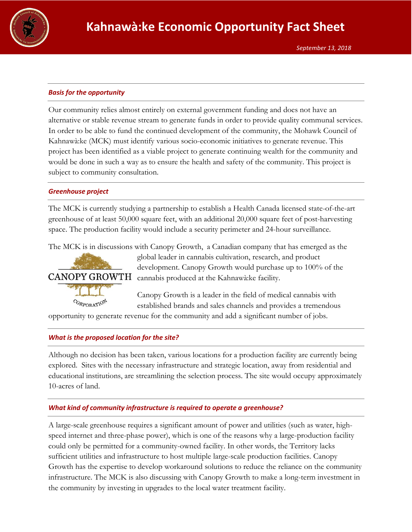

#### *Basis for the opportunity*

Our community relies almost entirely on external government funding and does not have an alternative or stable revenue stream to generate funds in order to provide quality communal services. In order to be able to fund the continued development of the community, the Mohawk Council of Kahnawà:ke (MCK) must identify various socio-economic initiatives to generate revenue. This project has been identified as a viable project to generate continuing wealth for the community and would be done in such a way as to ensure the health and safety of the community. This project is subject to community consultation.

#### *Greenhouse project*

The MCK is currently studying a partnership to establish a Health Canada licensed state-of-the-art greenhouse of at least 50,000 square feet, with an additional 20,000 square feet of post-harvesting space. The production facility would include a security perimeter and 24-hour surveillance.

The MCK is in discussions with Canopy Growth, a Canadian company that has emerged as the



global leader in cannabis cultivation, research, and product development. Canopy Growth would purchase up to 100% of the CANOPY GROWTH cannabis produced at the Kahnawà:ke facility.

> Canopy Growth is a leader in the field of medical cannabis with established brands and sales channels and provides a tremendous

opportunity to generate revenue for the community and add a significant number of jobs.

#### *What is the proposed location for the site?*

Although no decision has been taken, various locations for a production facility are currently being explored. Sites with the necessary infrastructure and strategic location, away from residential and educational institutions, are streamlining the selection process. The site would occupy approximately 10-acres of land.

#### *What kind of community infrastructure is required to operate a greenhouse?*

A large-scale greenhouse requires a significant amount of power and utilities (such as water, highspeed internet and three-phase power), which is one of the reasons why a large-production facility could only be permitted for a community-owned facility. In other words, the Territory lacks sufficient utilities and infrastructure to host multiple large-scale production facilities. Canopy Growth has the expertise to develop workaround solutions to reduce the reliance on the community infrastructure. The MCK is also discussing with Canopy Growth to make a long-term investment in the community by investing in upgrades to the local water treatment facility.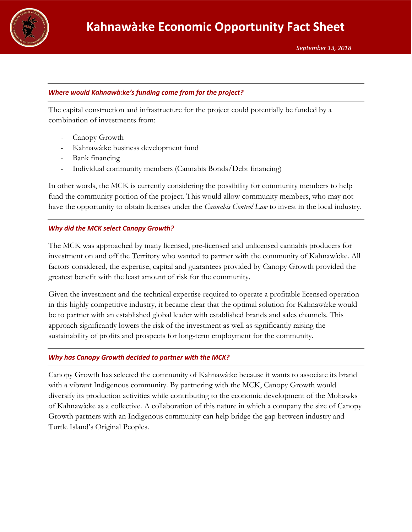

#### *Where would Kahnawà:ke's funding come from for the project?*

The capital construction and infrastructure for the project could potentially be funded by a combination of investments from:

- Canopy Growth
- Kahnawà:ke business development fund
- Bank financing
- Individual community members (Cannabis Bonds/Debt financing)

In other words, the MCK is currently considering the possibility for community members to help fund the community portion of the project. This would allow community members, who may not have the opportunity to obtain licenses under the *Cannabis Control Law* to invest in the local industry.

#### *Why did the MCK select Canopy Growth?*

The MCK was approached by many licensed, pre-licensed and unlicensed cannabis producers for investment on and off the Territory who wanted to partner with the community of Kahnawà:ke. All factors considered, the expertise, capital and guarantees provided by Canopy Growth provided the greatest benefit with the least amount of risk for the community.

Given the investment and the technical expertise required to operate a profitable licensed operation in this highly competitive industry, it became clear that the optimal solution for Kahnawà:ke would be to partner with an established global leader with established brands and sales channels. This approach significantly lowers the risk of the investment as well as significantly raising the sustainability of profits and prospects for long-term employment for the community.

#### *Why has Canopy Growth decided to partner with the MCK?*

Canopy Growth has selected the community of Kahnawà:ke because it wants to associate its brand with a vibrant Indigenous community. By partnering with the MCK, Canopy Growth would diversify its production activities while contributing to the economic development of the Mohawks of Kahnawà:ke as a collective. A collaboration of this nature in which a company the size of Canopy Growth partners with an Indigenous community can help bridge the gap between industry and Turtle Island's Original Peoples.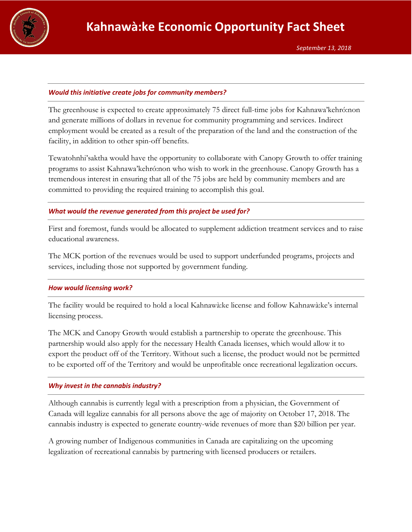

#### *Would this initiative create jobs for community members?*

The greenhouse is expected to create approximately 75 direct full-time jobs for Kahnawa'kehró:non and generate millions of dollars in revenue for community programming and services. Indirect employment would be created as a result of the preparation of the land and the construction of the facility, in addition to other spin-off benefits.

Tewatohnhi'saktha would have the opportunity to collaborate with Canopy Growth to offer training programs to assist Kahnawa'kehró:non who wish to work in the greenhouse. Canopy Growth has a tremendous interest in ensuring that all of the 75 jobs are held by community members and are committed to providing the required training to accomplish this goal.

#### *What would the revenue generated from this project be used for?*

First and foremost, funds would be allocated to supplement addiction treatment services and to raise educational awareness.

The MCK portion of the revenues would be used to support underfunded programs, projects and services, including those not supported by government funding.

#### *How would licensing work?*

The facility would be required to hold a local Kahnawà:ke license and follow Kahnawà:ke's internal licensing process.

The MCK and Canopy Growth would establish a partnership to operate the greenhouse. This partnership would also apply for the necessary Health Canada licenses, which would allow it to export the product off of the Territory. Without such a license, the product would not be permitted to be exported off of the Territory and would be unprofitable once recreational legalization occurs.

#### *Why invest in the cannabis industry?*

Although cannabis is currently legal with a prescription from a physician, the Government of Canada will legalize cannabis for all persons above the age of majority on October 17, 2018. The cannabis industry is expected to generate country-wide revenues of more than \$20 billion per year.

A growing number of Indigenous communities in Canada are capitalizing on the upcoming legalization of recreational cannabis by partnering with licensed producers or retailers.